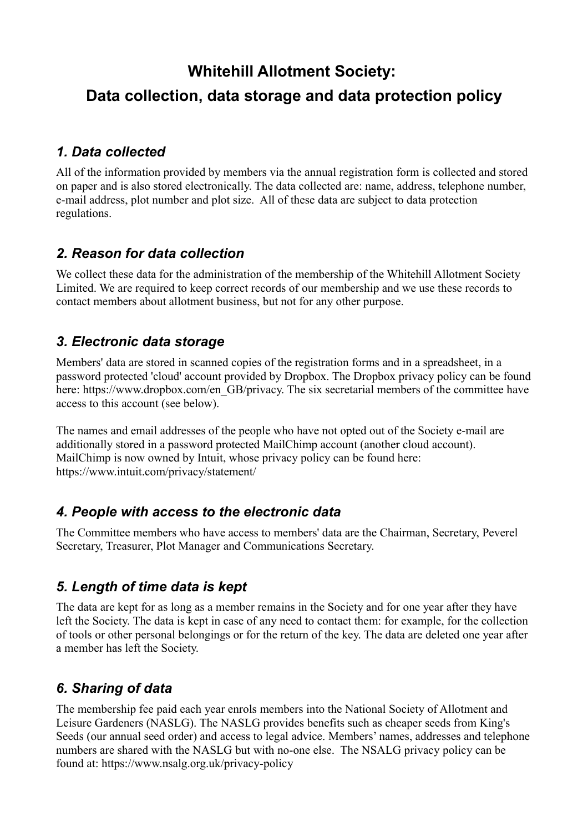# **Whitehill Allotment Society: Data collection, data storage and data protection policy**

#### *1. Data collected*

All of the information provided by members via the annual registration form is collected and stored on paper and is also stored electronically. The data collected are: name, address, telephone number, e-mail address, plot number and plot size. All of these data are subject to data protection regulations.

#### *2. Reason for data collection*

We collect these data for the administration of the membership of the Whitehill Allotment Society Limited. We are required to keep correct records of our membership and we use these records to contact members about allotment business, but not for any other purpose.

#### *3. Electronic data storage*

Members' data are stored in scanned copies of the registration forms and in a spreadsheet, in a password protected 'cloud' account provided by Dropbox. The Dropbox privacy policy can be found here: https://www.dropbox.com/en\_GB/privacy. The six secretarial members of the committee have access to this account (see below).

The names and email addresses of the people who have not opted out of the Society e-mail are additionally stored in a password protected MailChimp account (another cloud account). MailChimp is now owned by Intuit, whose privacy policy can be found here: https://www.intuit.com/privacy/statement/

#### *4. People with access to the electronic data*

The Committee members who have access to members' data are the Chairman, Secretary, Peverel Secretary, Treasurer, Plot Manager and Communications Secretary.

### *5. Length of time data is kept*

The data are kept for as long as a member remains in the Society and for one year after they have left the Society. The data is kept in case of any need to contact them: for example, for the collection of tools or other personal belongings or for the return of the key. The data are deleted one year after a member has left the Society.

# *6. Sharing of data*

The membership fee paid each year enrols members into the National Society of Allotment and Leisure Gardeners (NASLG). The NASLG provides benefits such as cheaper seeds from King's Seeds (our annual seed order) and access to legal advice. Members' names, addresses and telephone numbers are shared with the NASLG but with no-one else. The NSALG privacy policy can be found at: https://www.nsalg.org.uk/privacy-policy